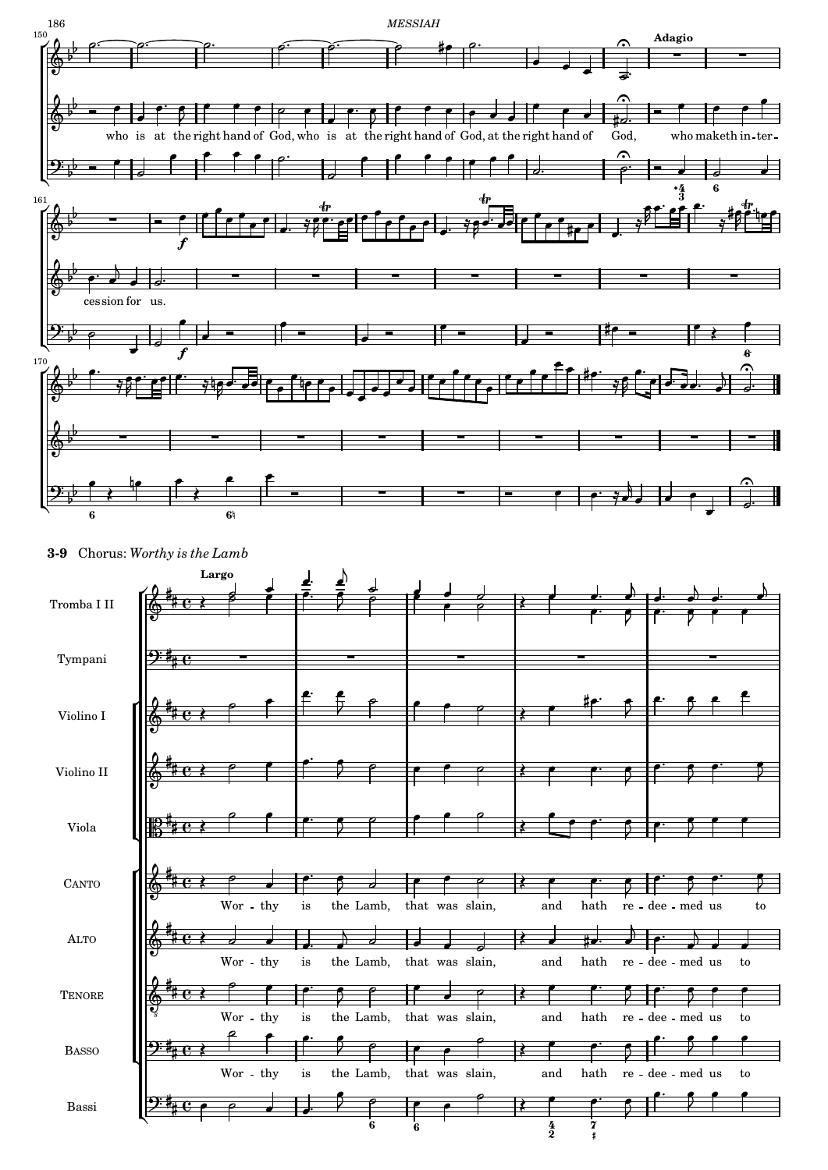



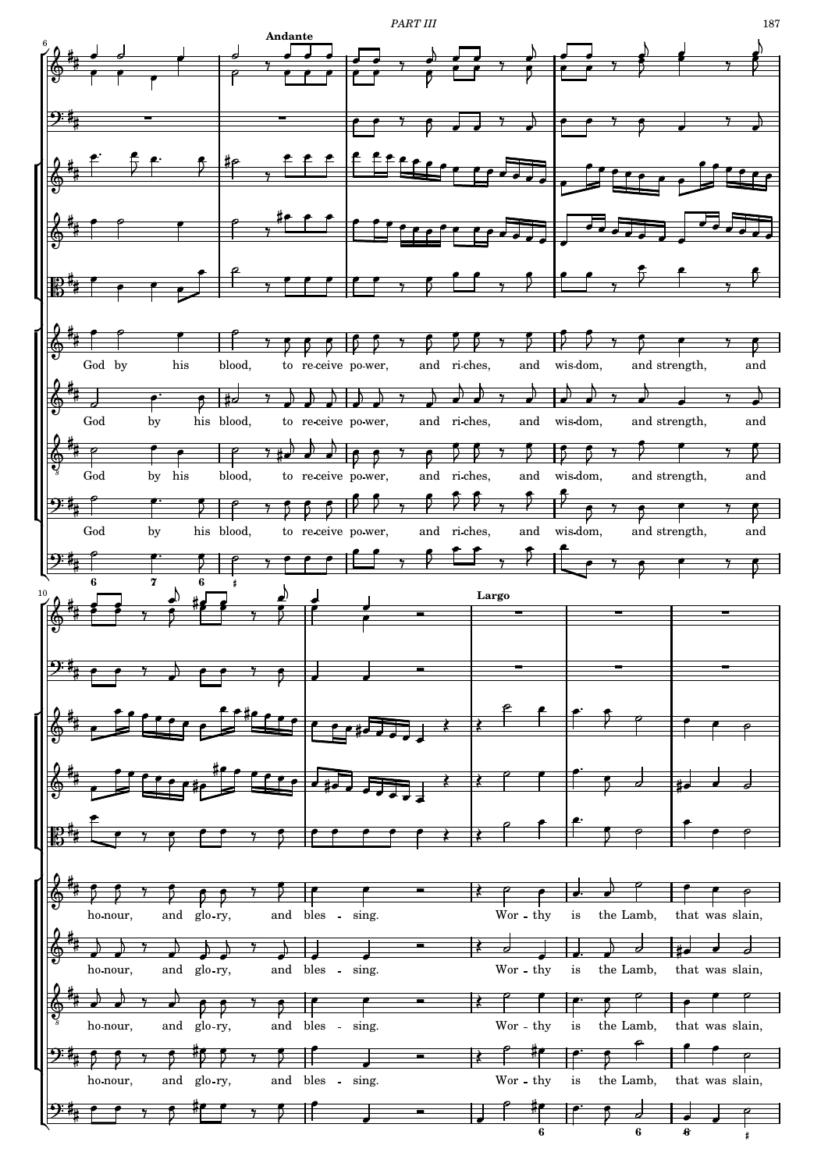PART III

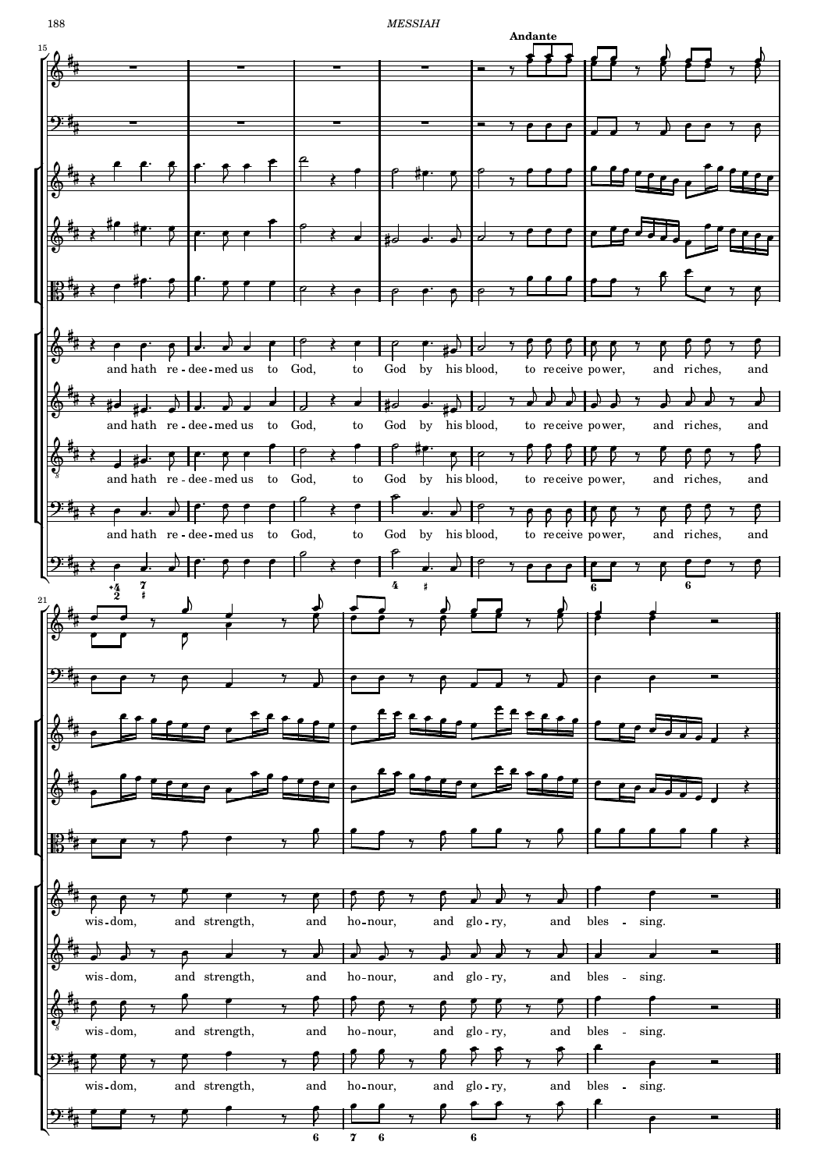**MESSIAH** 

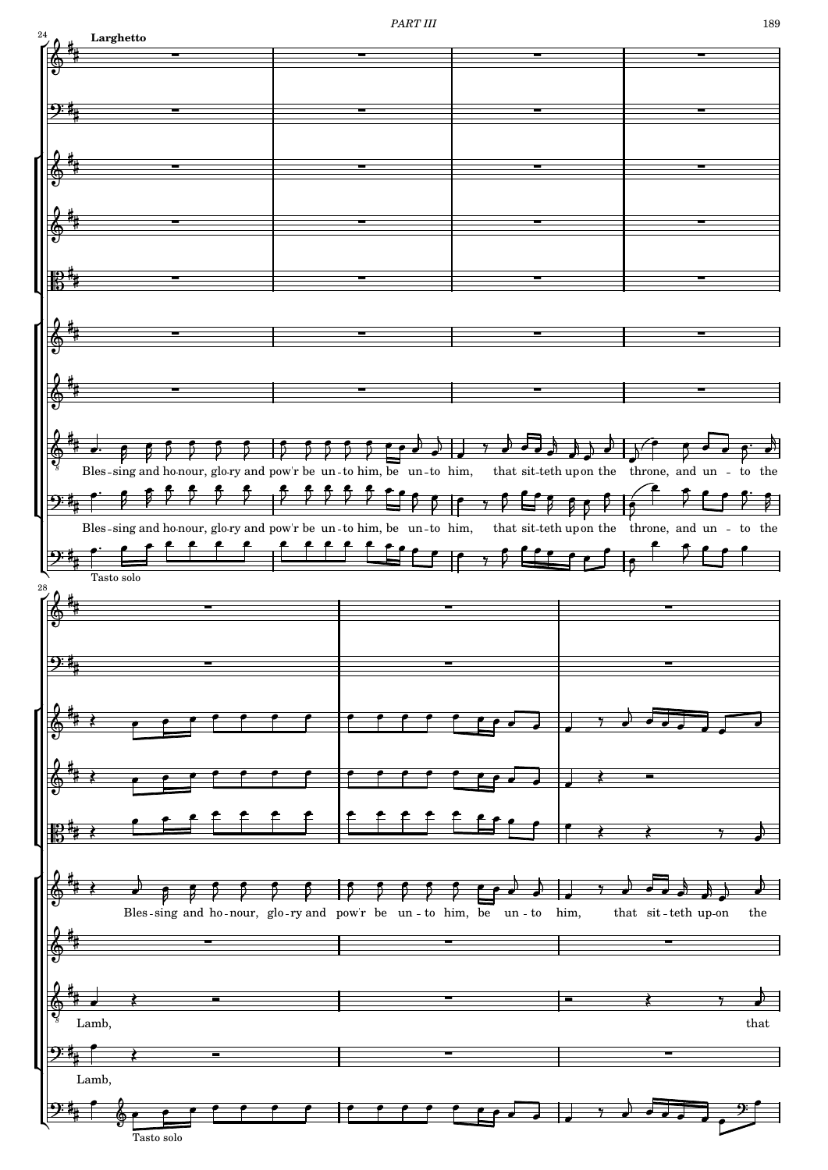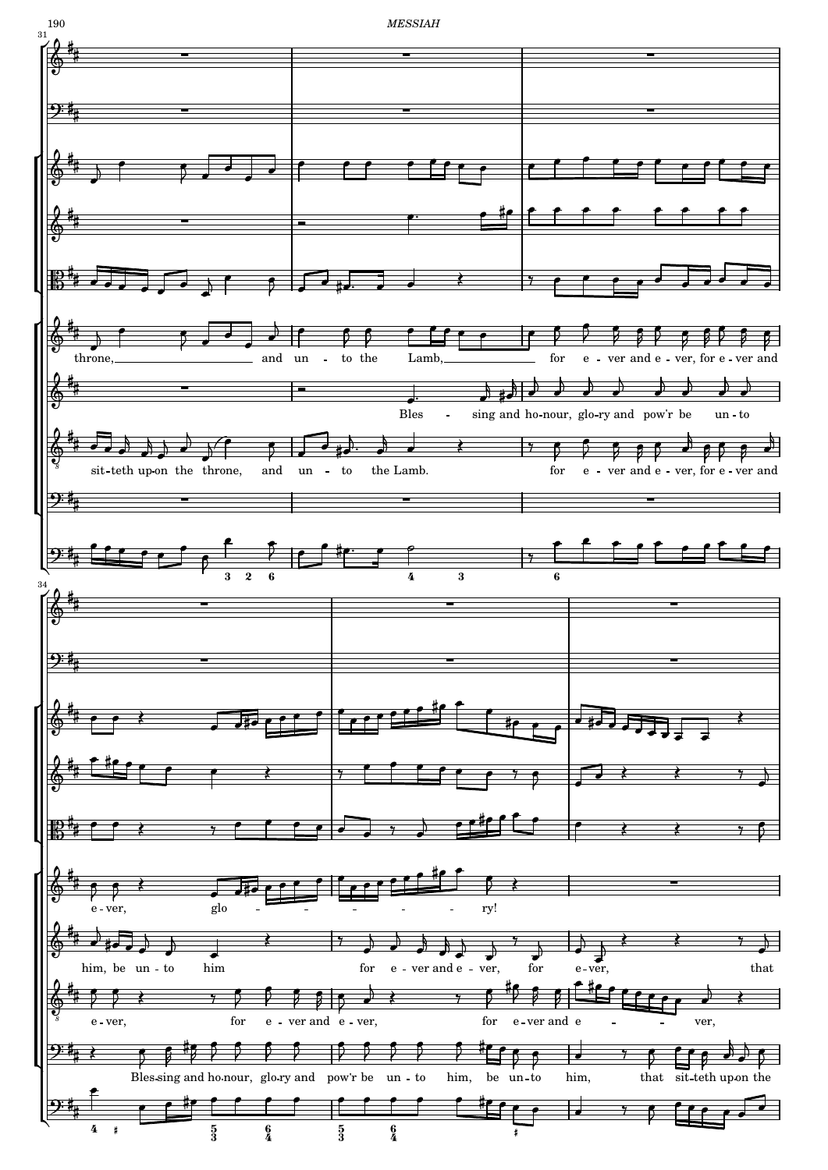

**MESSIAH**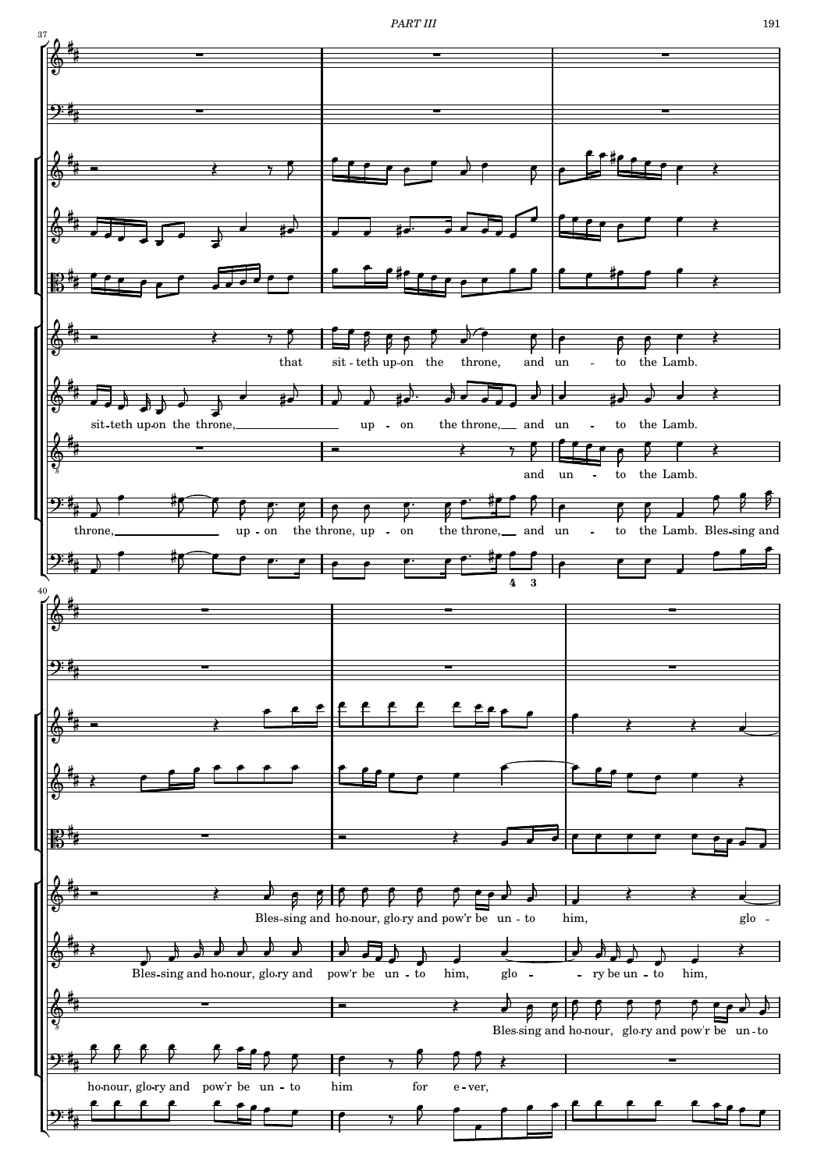

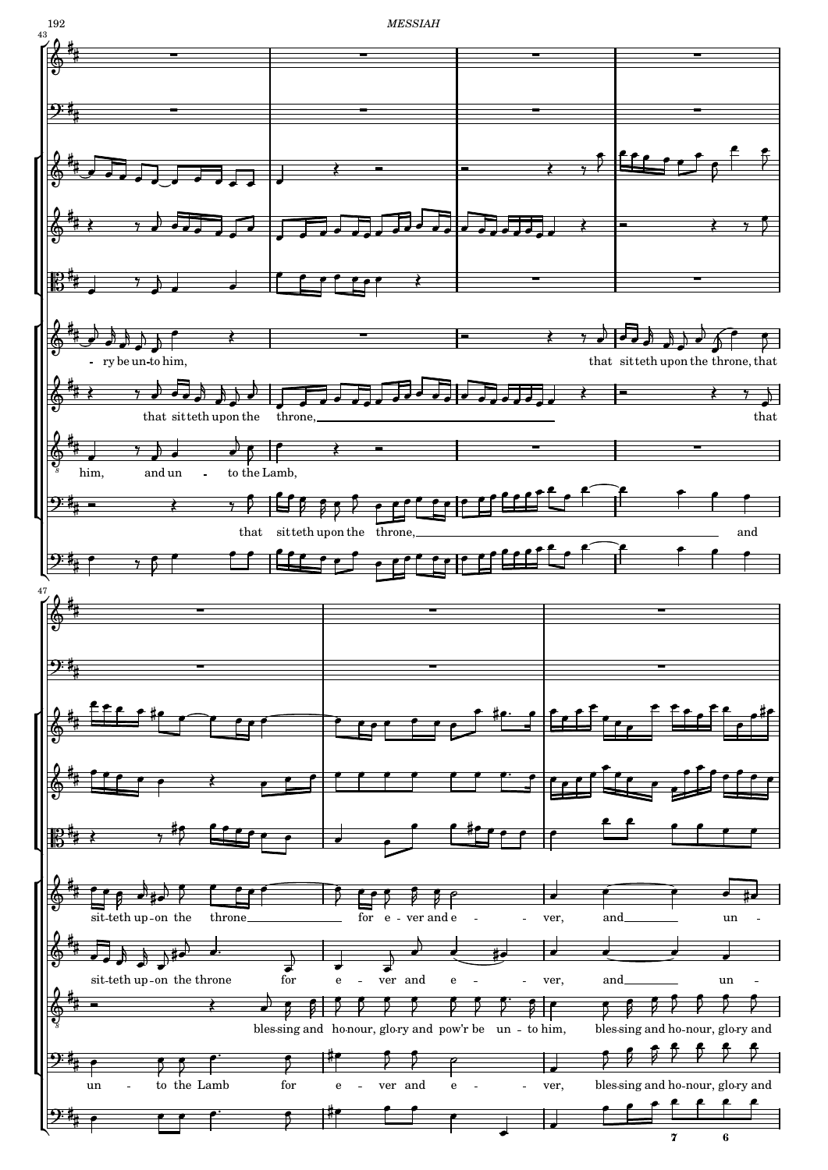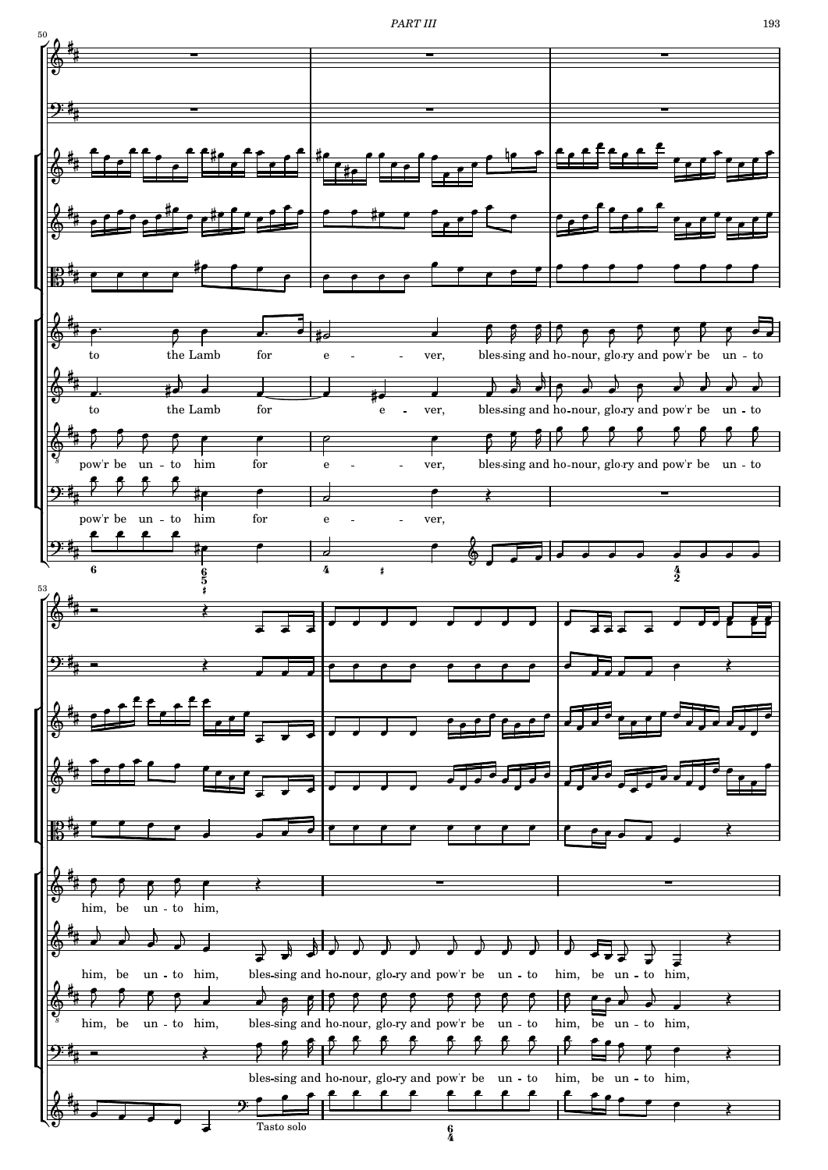

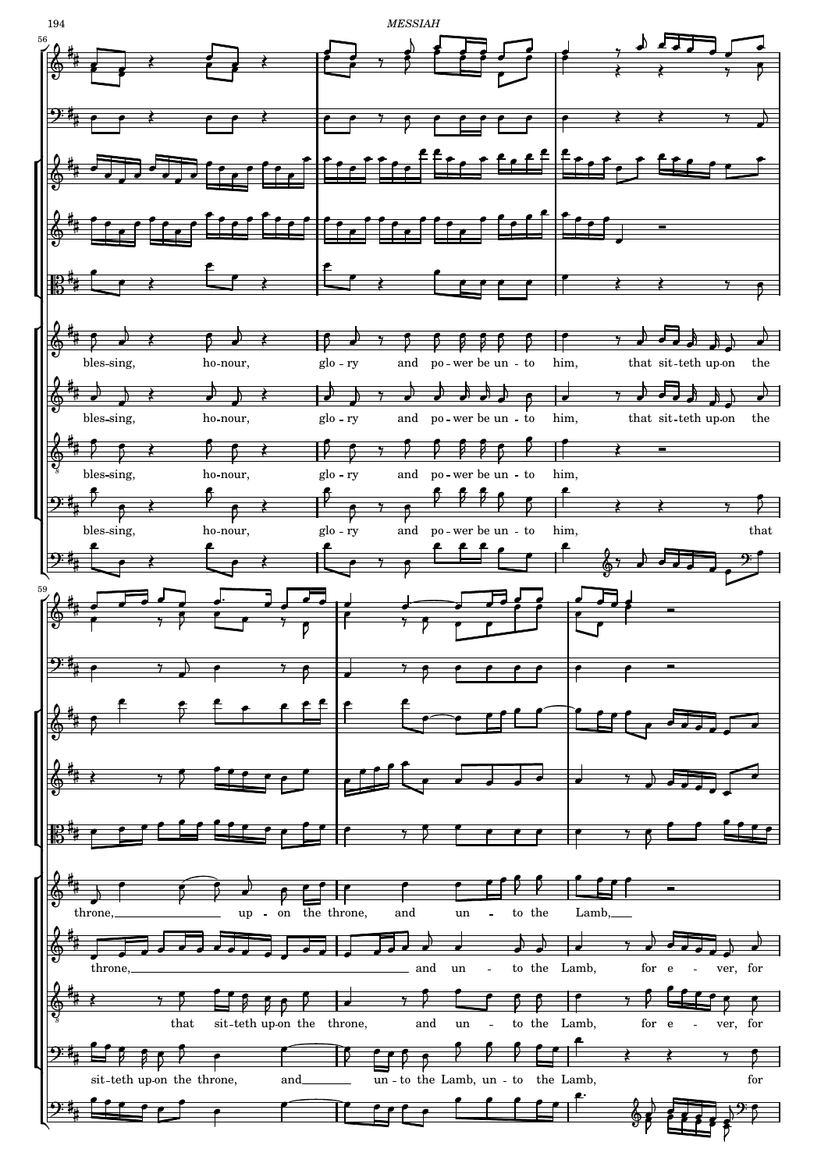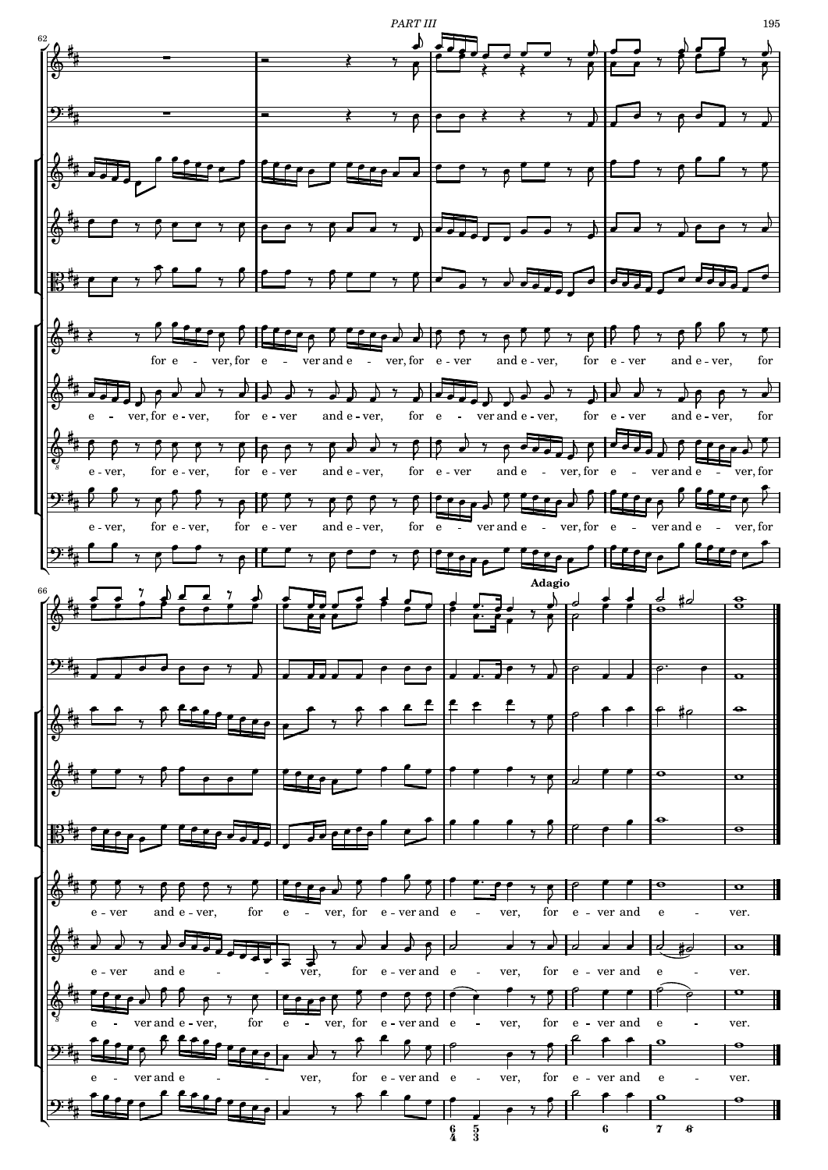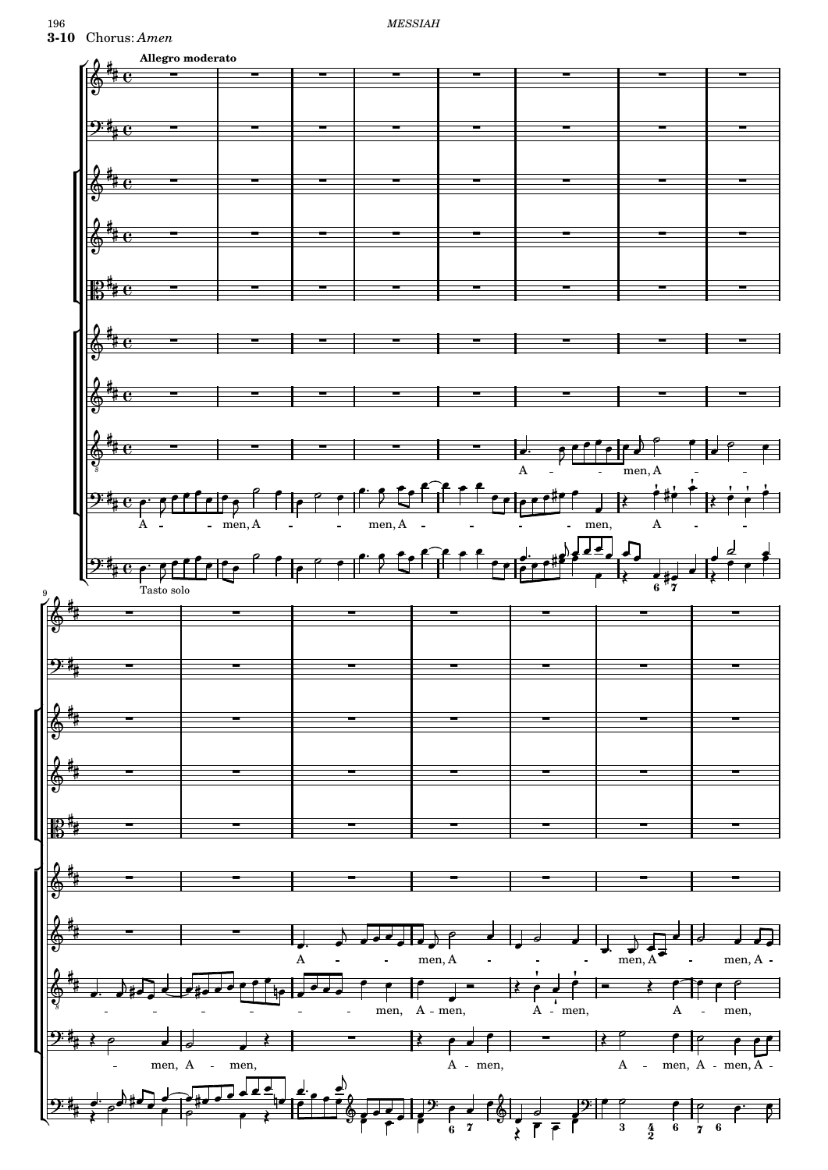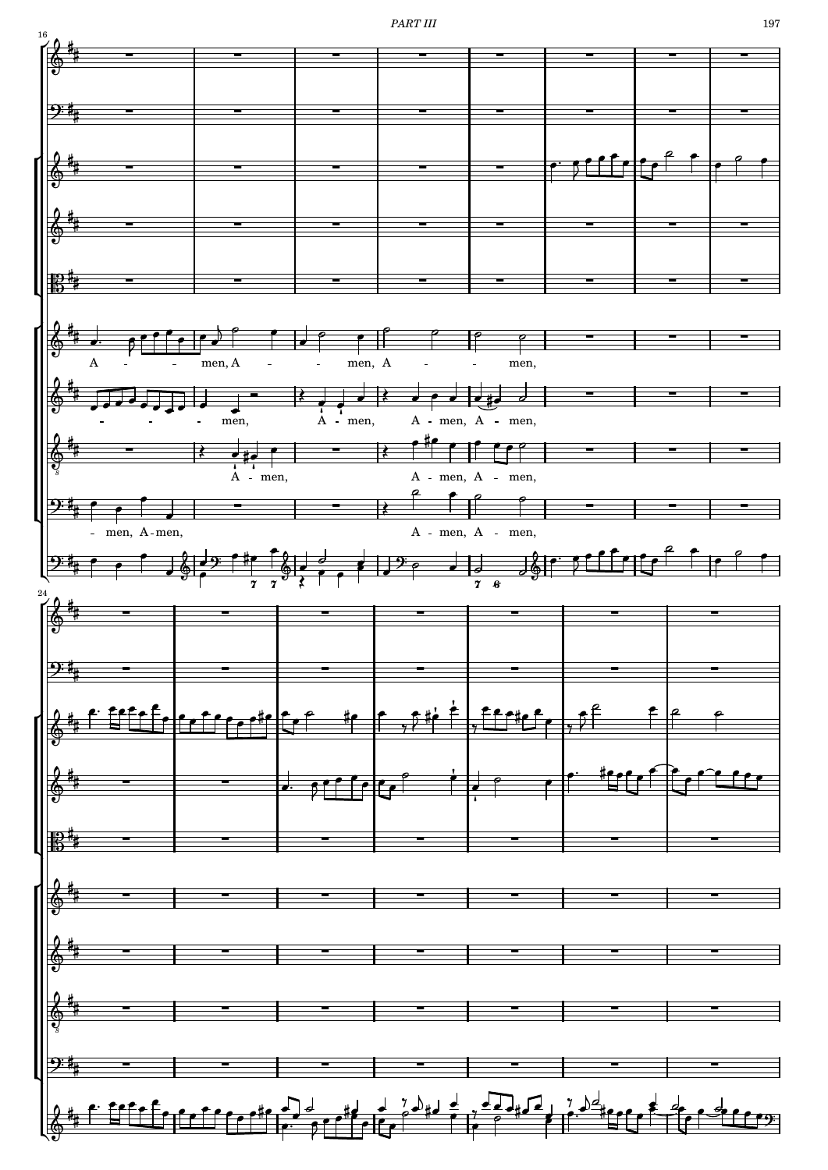

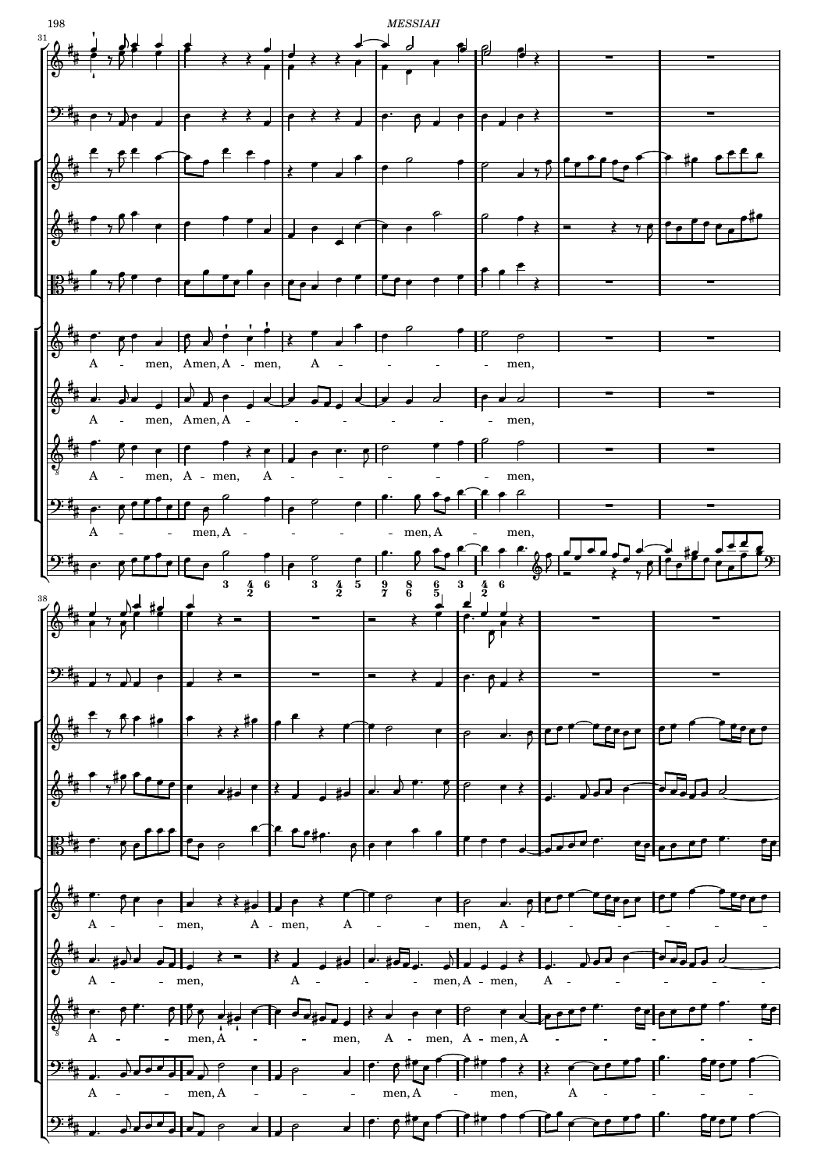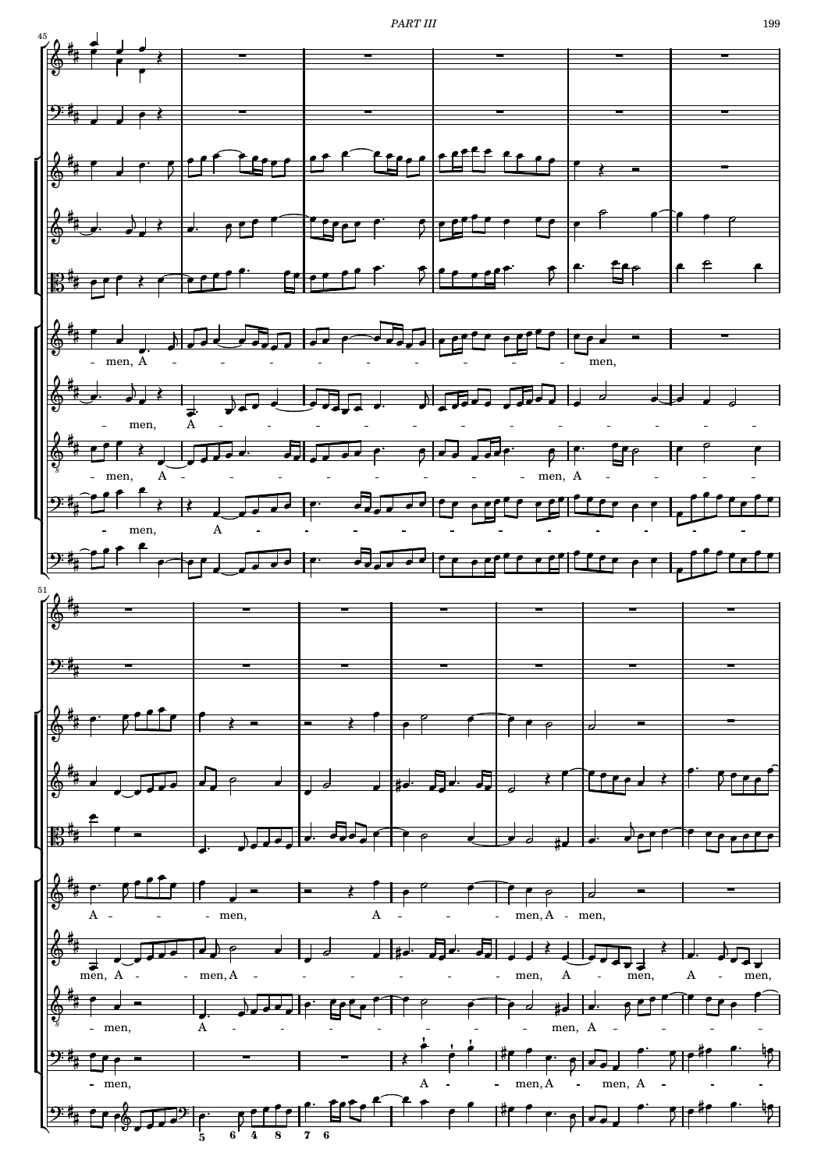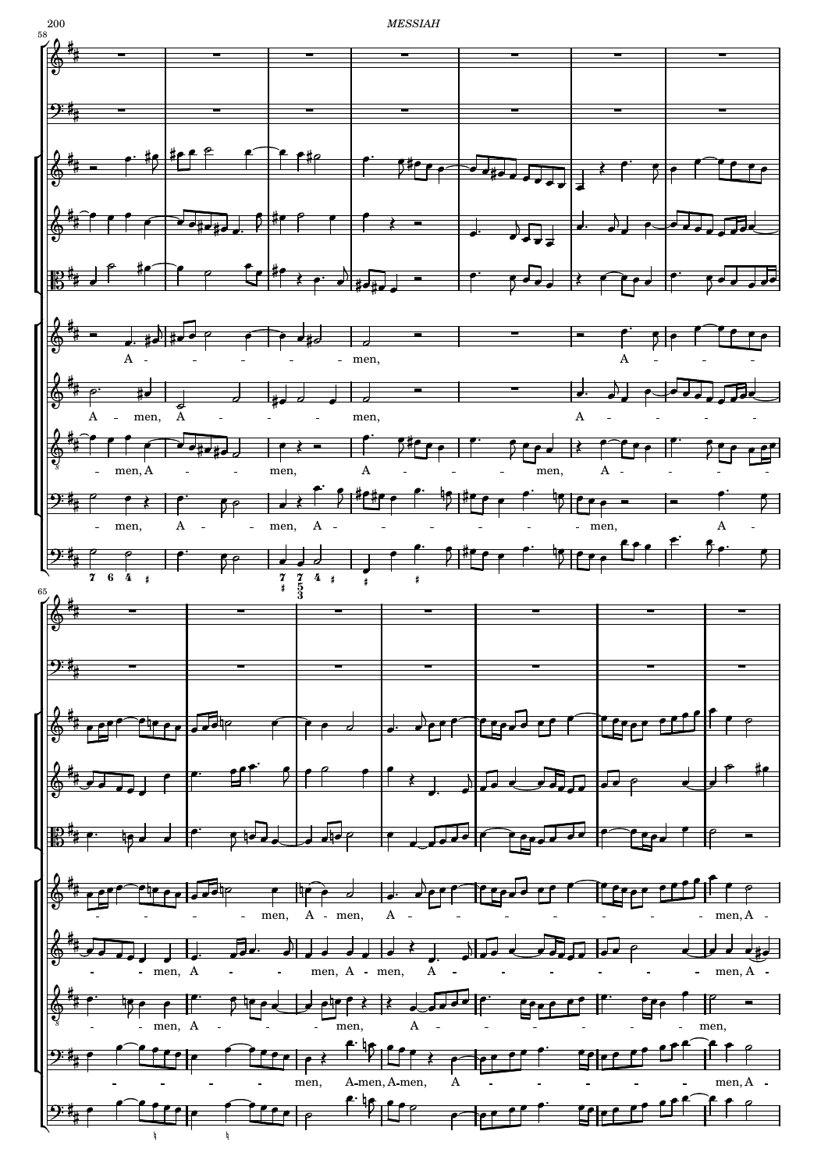